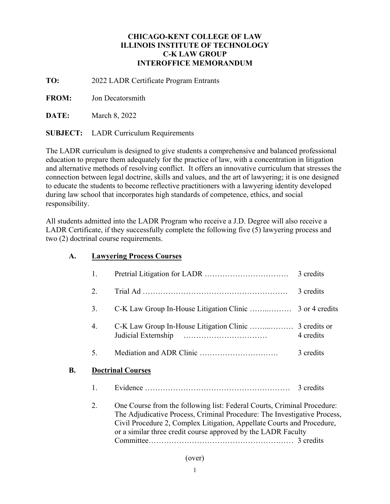# **CHICAGO-KENT COLLEGE OF LAW ILLINOIS INSTITUTE OF TECHNOLOGY C-K LAW GROUP INTEROFFICE MEMORANDUM**

**TO:** 2022 LADR Certificate Program Entrants

**FROM:** Jon Decatorsmith

**DATE:** March 8, 2022

**SUBJECT:** LADR Curriculum Requirements

**A. Lawyering Process Courses** 

The LADR curriculum is designed to give students a comprehensive and balanced professional education to prepare them adequately for the practice of law, with a concentration in litigation and alternative methods of resolving conflict. It offers an innovative curriculum that stresses the connection between legal doctrine, skills and values, and the art of lawyering; it is one designed to educate the students to become reflective practitioners with a lawyering identity developed during law school that incorporates high standards of competence, ethics, and social responsibility.

All students admitted into the LADR Program who receive a J.D. Degree will also receive a LADR Certificate, if they successfully complete the following five (5) lawyering process and two (2) doctrinal course requirements.

|           | 1. |                                                                                                                                                     | 3 credits |
|-----------|----|-----------------------------------------------------------------------------------------------------------------------------------------------------|-----------|
|           | 2. |                                                                                                                                                     | 3 credits |
|           | 3. |                                                                                                                                                     |           |
|           | 4. | Judicial Externship                                                                                                                                 | 4 credits |
|           | 5. |                                                                                                                                                     | 3 credits |
| <b>B.</b> |    | <b>Doctrinal Courses</b>                                                                                                                            |           |
|           | 1. |                                                                                                                                                     | 3 credits |
|           | 2. | One Course from the following list: Federal Courts, Criminal Procedure:<br>The Adjudicative Process, Criminal Procedure: The Investigative Process, |           |

Civil Procedure 2, Complex Litigation, Appellate Courts and Procedure, or a similar three credit course approved by the LADR Faculty Committee………………………………………………… 3 credits

## (over)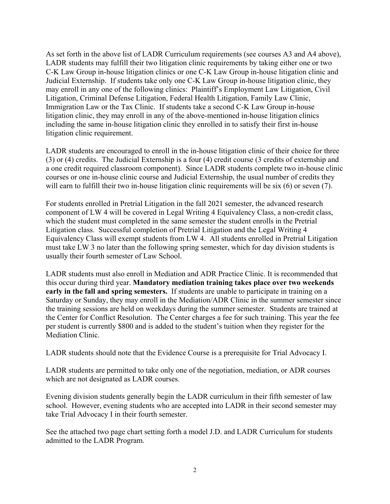As set forth in the above list of LADR Curriculum requirements (see courses A3 and A4 above), LADR students may fulfill their two litigation clinic requirements by taking either one or two C-K Law Group in-house litigation clinics or one C-K Law Group in-house litigation clinic and Judicial Externship. If students take only one C-K Law Group in-house litigation clinic, they may enroll in any one of the following clinics: Plaintiff's Employment Law Litigation, Civil Litigation, Criminal Defense Litigation, Federal Health Litigation, Family Law Clinic, Immigration Law or the Tax Clinic. If students take a second C-K Law Group in-house litigation clinic, they may enroll in any of the above-mentioned in-house litigation clinics including the same in-house litigation clinic they enrolled in to satisfy their first in-house litigation clinic requirement.

LADR students are encouraged to enroll in the in-house litigation clinic of their choice for three (3) or (4) credits. The Judicial Externship is a four (4) credit course (3 credits of externship and a one credit required classroom component). Since LADR students complete two in-house clinic courses or one in-house clinic course and Judicial Externship, the usual number of credits they will earn to fulfill their two in-house litigation clinic requirements will be six (6) or seven (7).

For students enrolled in Pretrial Litigation in the fall 2021 semester, the advanced research component of LW 4 will be covered in Legal Writing 4 Equivalency Class, a non-credit class, which the student must completed in the same semester the student enrolls in the Pretrial Litigation class. Successful completion of Pretrial Litigation and the Legal Writing 4 Equivalency Class will exempt students from LW 4. All students enrolled in Pretrial Litigation must take LW 3 no later than the following spring semester, which for day division students is usually their fourth semester of Law School.

LADR students must also enroll in Mediation and ADR Practice Clinic. It is recommended that this occur during third year. **Mandatory mediation training takes place over two weekends early in the fall and spring semesters.** If students are unable to participate in training on a Saturday or Sunday, they may enroll in the Mediation/ADR Clinic in the summer semester since the training sessions are held on weekdays during the summer semester. Students are trained at the Center for Conflict Resolution. The Center charges a fee for such training. This year the fee per student is currently \$800 and is added to the student's tuition when they register for the Mediation Clinic.

LADR students should note that the Evidence Course is a prerequisite for Trial Advocacy I.

LADR students are permitted to take only one of the negotiation, mediation, or ADR courses which are not designated as LADR courses.

Evening division students generally begin the LADR curriculum in their fifth semester of law school. However, evening students who are accepted into LADR in their second semester may take Trial Advocacy I in their fourth semester.

See the attached two page chart setting forth a model J.D. and LADR Curriculum for students admitted to the LADR Program.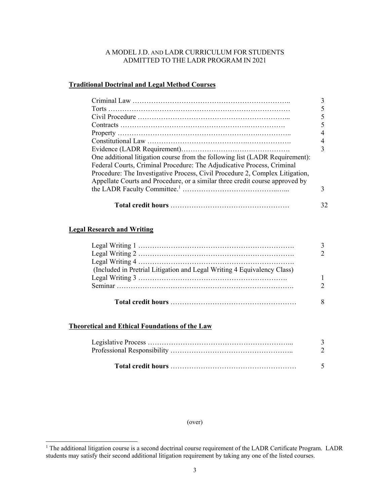#### A MODEL J.D. AND LADR CURRICULUM FOR STUDENTS ADMITTED TO THE LADR PROGRAM IN 2021

#### **Traditional Doctrinal and Legal Method Courses**

| One additional litigation course from the following list (LADR Requirement):<br>Federal Courts, Criminal Procedure: The Adjudicative Process, Criminal |  |
|--------------------------------------------------------------------------------------------------------------------------------------------------------|--|
| Procedure: The Investigative Process, Civil Procedure 2, Complex Litigation,                                                                           |  |
| Appellate Courts and Procedure, or a similar three credit course approved by                                                                           |  |
|                                                                                                                                                        |  |
|                                                                                                                                                        |  |
|                                                                                                                                                        |  |

#### **Legal Research and Writing**

 $\overline{a}$ 

| (Included in Pretrial Litigation and Legal Writing 4 Equivalency Class) |  |
|-------------------------------------------------------------------------|--|
|                                                                         |  |
|                                                                         |  |
|                                                                         |  |
|                                                                         |  |

#### **Theoretical and Ethical Foundations of the Law**

#### (over)

<sup>&</sup>lt;sup>1</sup> The additional litigation course is a second doctrinal course requirement of the LADR Certificate Program. LADR students may satisfy their second additional litigation requirement by taking any one of the listed courses.